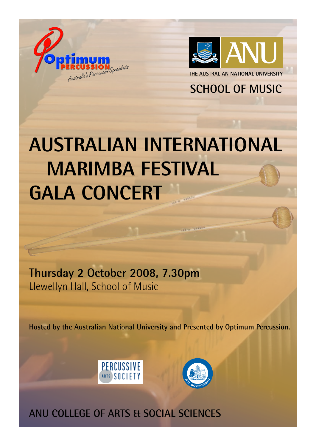



**SCHOOL OF MUSIC** 

# **AUSTRALIAN INTERNATIONAL MARIMBA FESTIVAL GALA CONCERT**

**Thursday 2 October 2008, 7.30pm** Llewellyn Hall, School of Music

**Hosted by the Australian National University and Presented by Optimum Percussion.**





**ANU COLLEGE OF ARTS & SOCIAL SCIENCES**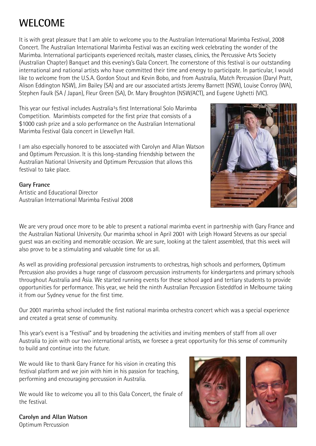## **WELCOME**

It is with great pleasure that I am able to welcome you to the Australian International Marimba Festival, 2008 Concert. The Australian International Marimba Festival was an exciting week celebrating the wonder of the Marimba. International participants experienced recitals, master classes, clinics, the Percussive Arts Society (Australian Chapter) Banquet and this evening's Gala Concert. The cornerstone of this festival is our outstanding international and national artists who have committed their time and energy to participate. In particular, I would like to welcome from the U.S.A. Gordon Stout and Kevin Bobo, and from Australia, Match Percussion (Daryl Pratt, Alison Eddington NSW), Jim Bailey (SA) and are our associated artists Jeremy Barnett (NSW), Louise Conroy (WA), Stephen Faulk (SA / Japan), Fleur Green (SA), Dr. Mary Broughton (NSW/ACT), and Eugene Ughetti (VIC).

This year our festival includes Australia<sup>1</sup>s first International Solo Marimba Competition. Marimbists competed for the first prize that consists of a \$1000 cash prize and a solo performance on the Australian International Marimba Festival Gala concert in Llewellyn Hall.

I am also especially honored to be associated with Carolyn and Allan Watson and Optimum Percussion. It is this long-standing friendship between the Australian National University and Optimum Percussion that allows this festival to take place.



#### **Gary France**

Artistic and Educational Director Australian International Marimba Festival 2008

We are very proud once more to be able to present a national marimba event in partnership with Gary France and the Australian National University. Our marimba school in April 2001 with Leigh Howard Stevens as our special guest was an exciting and memorable occasion. We are sure, looking at the talent assembled, that this week will also prove to be a stimulating and valuable time for us all.

As well as providing professional percussion instruments to orchestras, high schools and performers, Optimum Percussion also provides a huge range of classroom percussion instruments for kindergartens and primary schools throughout Australia and Asia. We started running events for these school aged and tertiary students to provide opportunities for performance. This year, we held the ninth Australian Percussion Eisteddfod in Melbourne taking it from our Sydney venue for the first time.

Our 2001 marimba school included the first national marimba orchestra concert which was a special experience and created a great sense of community.

This year's event is a "Festival" and by broadening the activities and inviting members of staff from all over Australia to join with our two international artists, we foresee a great opportunity for this sense of community to build and continue into the future.

We would like to thank Gary France for his vision in creating this festival platform and we join with him in his passion for teaching, performing and encouraging percussion in Australia.

We would like to welcome you all to this Gala Concert, the finale of the festival.

**Carolyn and Allan Watson** Optimum Percussion



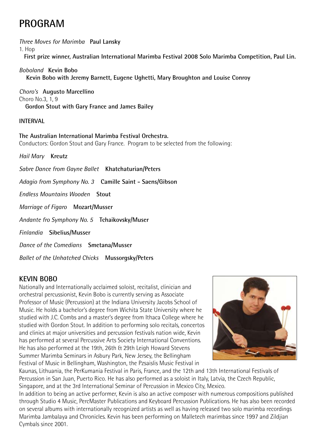## **PROGRAM**

*Three Moves for Marimba* **Paul Lansky**

1. Hop

**First prize winner, Australian International Marimba Festival 2008 Solo Marimba Competition, Paul Lin.** 

*Boboland* **Kevin Bobo Kevin Bobo with Jeremy Barnett, Eugene Ughetti, Mary Broughton and Louise Conroy**

*Choro's* **Augusto Marcellino** Choro No.3, 1, 9 **Gordon Stout with Gary France and James Bailey**

#### **INTERVAL**

**The Australian International Marimba Festival Orchestra.**  Conductors: Gordon Stout and Gary France. Program to be selected from the following:

*Hail Mary* **Kreutz**

*Sabre Dance from Gayne Ballet* **Khatchaturian/Peters**

*Adagio from Symphony No. 3* **Camille Saint - Saens/Gibson**

*Endless Mountains Wooden* **Stout**

*Marriage of Figaro* **Mozart/Musser**

*Andante fro Symphony No. 5* **Tchaikovsky/Muser**

*Finlandia* **Sibelius/Musser**

*Dance of the Comedians* **Smetana/Musser**

*Ballet of the Unhatched Chicks* **Mussorgsky/Peters**

#### **KEVIN BOBO**

Nationally and Internationally acclaimed soloist, recitalist, clinician and orchestral percussionist, Kevin Bobo is currently serving as Associate Professor of Music (Percussion) at the Indiana University Jacobs School of Music. He holds a bachelor's degree from Wichita State University where he studied with J.C. Combs and a master's degree from Ithaca College where he studied with Gordon Stout. In addition to performing solo recitals, concertos and clinics at major universities and percussion festivals nation wide, Kevin has performed at several Percussive Arts Society International Conventions. He has also performed at the 19th, 26th & 29th Leigh Howard Stevens Summer Marimba Seminars in Asbury Park, New Jersey, the Bellingham Festival of Music in Bellingham, Washington, the Pzsaislis Music Festival in



Kaunas, Lithuania, the PerKumania Festival in Paris, France, and the 12th and 13th International Festivals of Percussion in San Juan, Puerto Rico. He has also performed as a soloist in Italy, Latvia, the Czech Republic, Singapore, and at the 3rd International Seminar of Percussion in Mexico City, Mexico.

In addition to being an active performer, Kevin is also an active composer with numerous compositions published through Studio 4 Music, PercMaster Publications and Keyboard Percussion Publications. He has also been recorded on several albums with internationally recognized artists as well as having released two solo marimba recordings Marimba Jambalaya and Chronicles. Kevin has been performing on Malletech marimbas since 1997 and Zildjian Cymbals since 2001.